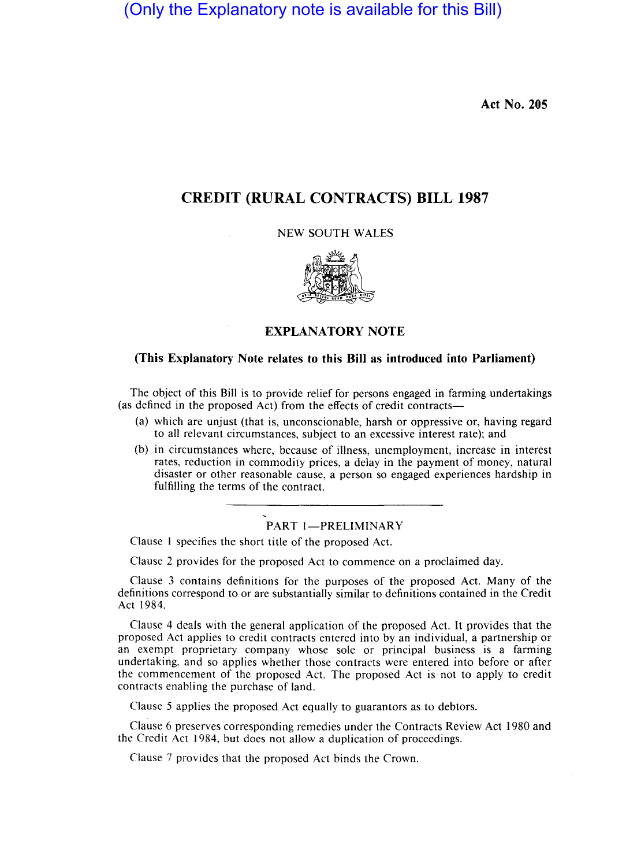(Only the Explanatory note is available for this Bill)

**Act No. 205** 

# **CREDIT (RURAL CONTRACTS) BILL 1987**

NEW SOUTH WALES



## **EXPLANATORY NOTE**

### **(This Explanatory Note relates to this Bill as introduced into Parliament)**

The object of this Bill is to provide relief for persons engaged in farming undertakings (as defined in the proposed Act) from the effects of credit contracts-

- (a) which are unjust (that is, unconscionable, harsh or oppressive or, having regard to all relevant circumstances, subject to an excessive interest rate); and
- (b) in circumstances where, because of illness, unemployment, increase in interest rates, reduction in commodity prices, a delay in the payment of money, natural disaster or other reasonable cause, a person so engaged experiences hardship in fulfilling the terms of the contract.

# PART 1-PRELIMINARY

Clause I specifies the short title of the proposed Act.

Clause 2 provides for the proposed Act to commence on a proclaimed day.

Clause 3 contains definitions for the purposes of the proposed Act. Many of the definitions correspond to or are substantially similar to definitions contained in the Credit Act 1984.

Clause 4 deals with the general application of the proposed Act. It provides that the proposed Act applies to credit contracts entered into by an individual, a partnership or an exempt proprietary company whose sole or principal business is a farming undertaking, and so applies whether those contracts were entered into before or after the commencement of the proposed Act. The proposed Act is not to apply to credit contracts enabling the purchase of land.

Clause 5 applies the proposed Act equally to guarantors as to debtors.

Clause 6 preserves corresponding remedies under the Contracts Review Act 1980 and the Credit Act 1984, but does not allow a duplication of proceedings.

Clause 7 provides that the proposed Act binds the Crown.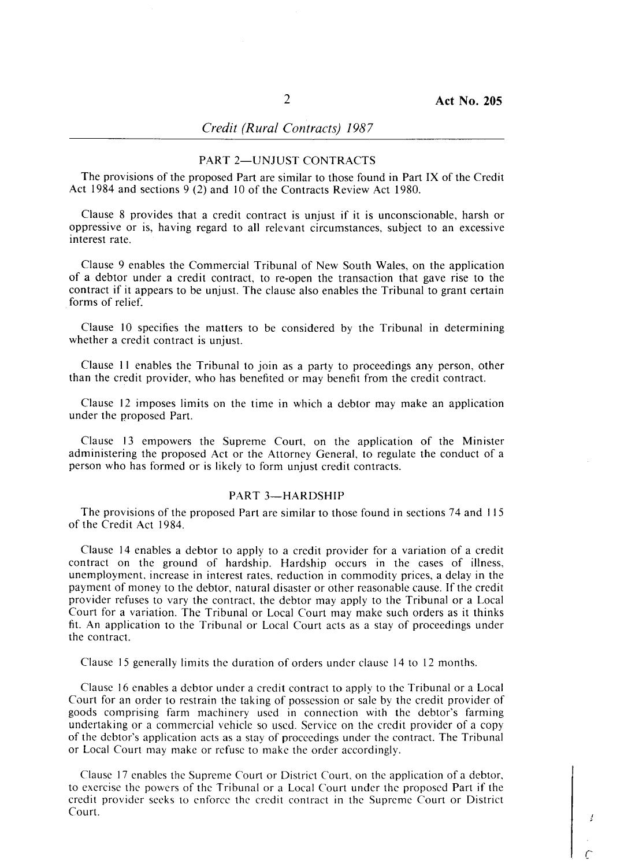## *Credit (Rural Contracts) 1987*

### PART 2-UNIUST CONTRACTS

The provisions of the proposed Part are similar to those found in Part IX of the Credit Act 1984 and sections 9 (2) and 10 of the Contracts Review Act 1980.

Clause 8 provides that a credit contract is unjust if it is unconscionable, harsh or oppressive or is, having regard to all relevant circumstances, subject to an excessive interest rate.

Clause 9 enables the Commercial Tribunal of New South Wales, on the application of a debtor under a credit contract, to re-open the transaction that gave rise to the contract if it appears to be unjust. The clause also enables the Tribunal to grant certain forms of relief.

Clause 10 specifies the matters to be considered by the Tribunal in determining whether a credit contract is unjust.

Clause II enables the Tribunal to join as a party to proceedings any person, other than the credit provider, who has benefited or may benefit from the credit contract.

Clause 12 imposes limits on the time in which a debtor may make an application under the proposed Part.

Clause 13 empowers the Supreme Court, on the application of the Minister administering the proposed Act or the Attorney General, to regulate the conduct of a person who has formed or is likely to form unjust credit contracts.

#### PART 3-HARDSHIP

The provisions of the proposed Part are similar to those found in sections 74 and 115 of the Credit Act 1984.

Clause 14 enables a debtor to apply to a credit provider for a variation of a credit contract on the ground of hardship. Hardship occurs in the cases of illness, unemployment, increase in interest rates, reduction in commodity prices, a delay in the payment of money to the debtor, natural disaster or other reasonable cause. If the credit provider refuses to vary the contract, the debtor may apply to the Tribunal or a Local Court for a variation. The Tribunal or Local Court may make such orders as it thinks fit. An application to the Tribunal or Local Court acts as a stay of proceedings under the contract.

Clause 15 generally limits the duration of orders under clause 14 to 12 months.

Clause 16 enables a debtor under a credit contract to apply to the Tribunal or a Local Court for an order to restrain the taking of possession or sale by the credit provider of goods comprising farm machinery used in connection with the debtor's farming undertaking or a commercial vehicle so used. Service on the credit provider of a copy of the debtor's application acts as a stay of proceedings under the contract. The Tribunal or Local Court may make or refuse to make the order accordingly.

Clause 17 enables the Supreme Court or District Court, on the application of a debtor, to exercise the powers of the Tribunal or a Local Court under the proposed Part if the credit provider seeks to enforce the credit contract in the Supreme Court or District Court.

*c*